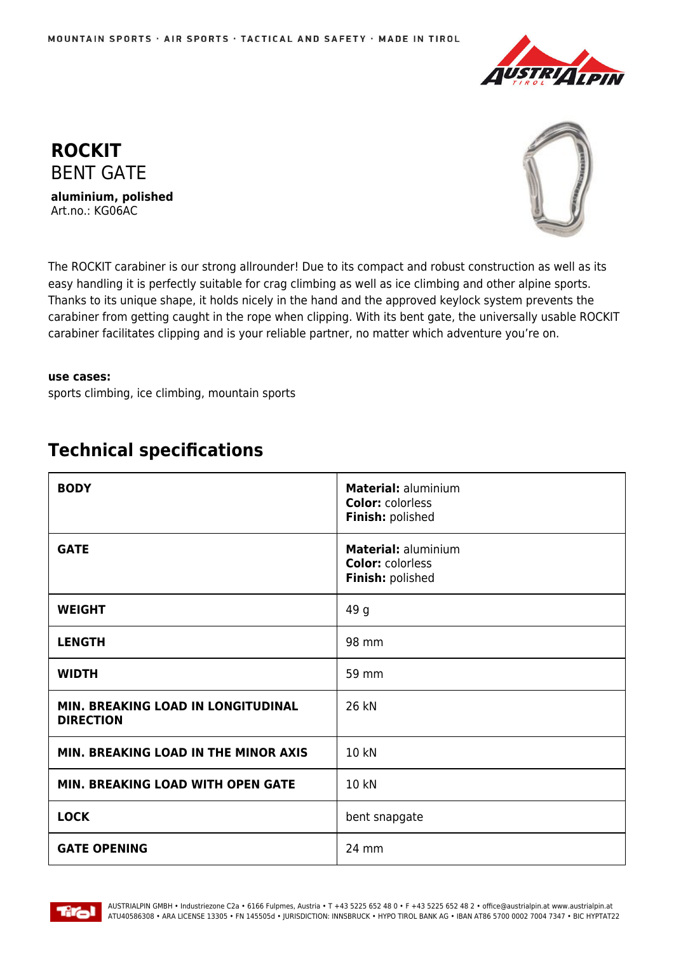





The ROCKIT carabiner is our strong allrounder! Due to its compact and robust construction as well as its easy handling it is perfectly suitable for crag climbing as well as ice climbing and other alpine sports. Thanks to its unique shape, it holds nicely in the hand and the approved keylock system prevents the carabiner from getting caught in the rope when clipping. With its bent gate, the universally usable ROCKIT carabiner facilitates clipping and is your reliable partner, no matter which adventure you're on.

## **use cases:**

sports climbing, ice climbing, mountain sports

| <b>BODY</b>                                            | Material: aluminium<br><b>Color: colorless</b><br>Finish: polished |
|--------------------------------------------------------|--------------------------------------------------------------------|
| <b>GATE</b>                                            | Material: aluminium<br><b>Color: colorless</b><br>Finish: polished |
| <b>WEIGHT</b>                                          | 49 g                                                               |
| <b>LENGTH</b>                                          | 98 mm                                                              |
| <b>WIDTH</b>                                           | 59 mm                                                              |
| MIN. BREAKING LOAD IN LONGITUDINAL<br><b>DIRECTION</b> | 26 kN                                                              |
| MIN. BREAKING LOAD IN THE MINOR AXIS                   | 10 kN                                                              |
| MIN. BREAKING LOAD WITH OPEN GATE                      | 10 kN                                                              |
| <b>LOCK</b>                                            | bent snapgate                                                      |
| <b>GATE OPENING</b>                                    | 24 mm                                                              |

## **Technical specifications**